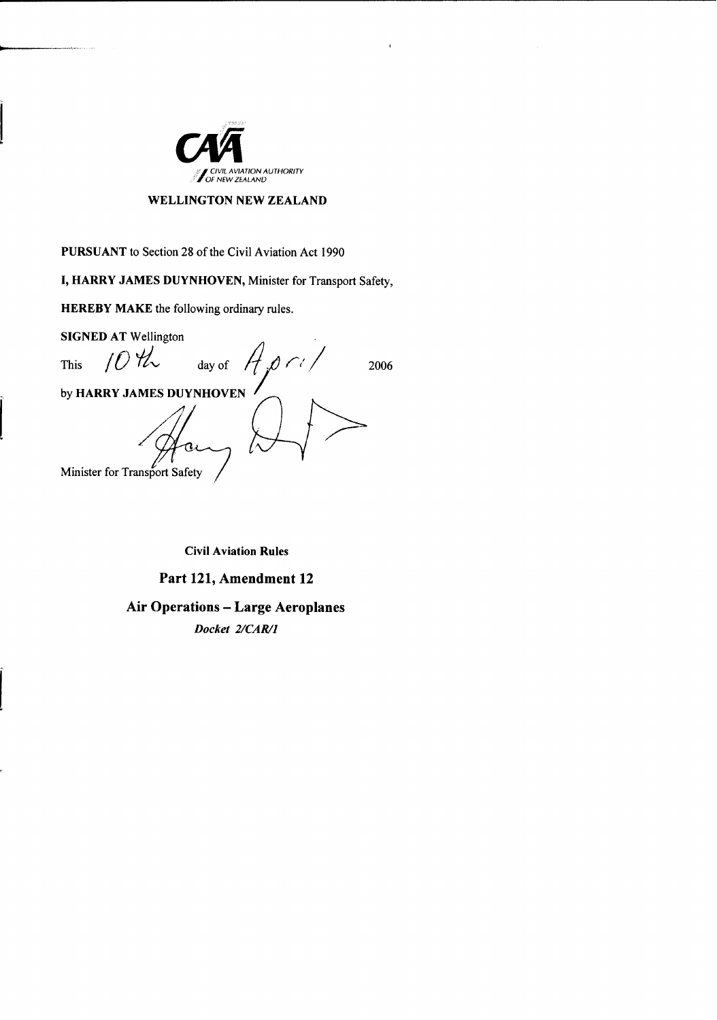

### **WELLINGTON NEW ZEALAND**

**PURSUANT** to Section 28 of the Civil Aviation Act 1990

I, HARRY JAMES DUYNHOVEN, Minister for Transport Safety,

**HEREBY MAKE** the following ordinary rules.

**SIGNED AT Wellington**  $1042$  $0<1$ day of **This** 2006 by HARRY JAMES DUYNHOVEN Minister for Transport Safety

**Civil Aviation Rules** 

Part 121, Amendment 12

**Air Operations - Large Aeroplanes** 

Docket 2/CAR/1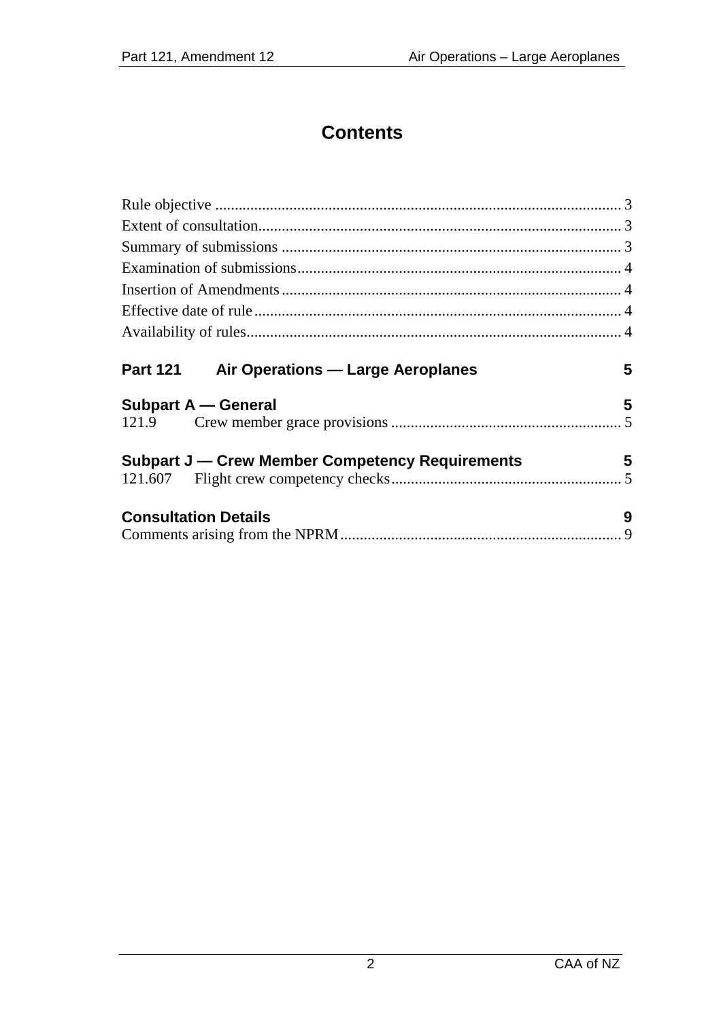## **Contents**

| <b>Part 121</b><br>Air Operations - Large Aeroplanes | 5 |
|------------------------------------------------------|---|
| Subpart A - General                                  | 5 |
|                                                      |   |
| Subpart J — Crew Member Competency Requirements      | 5 |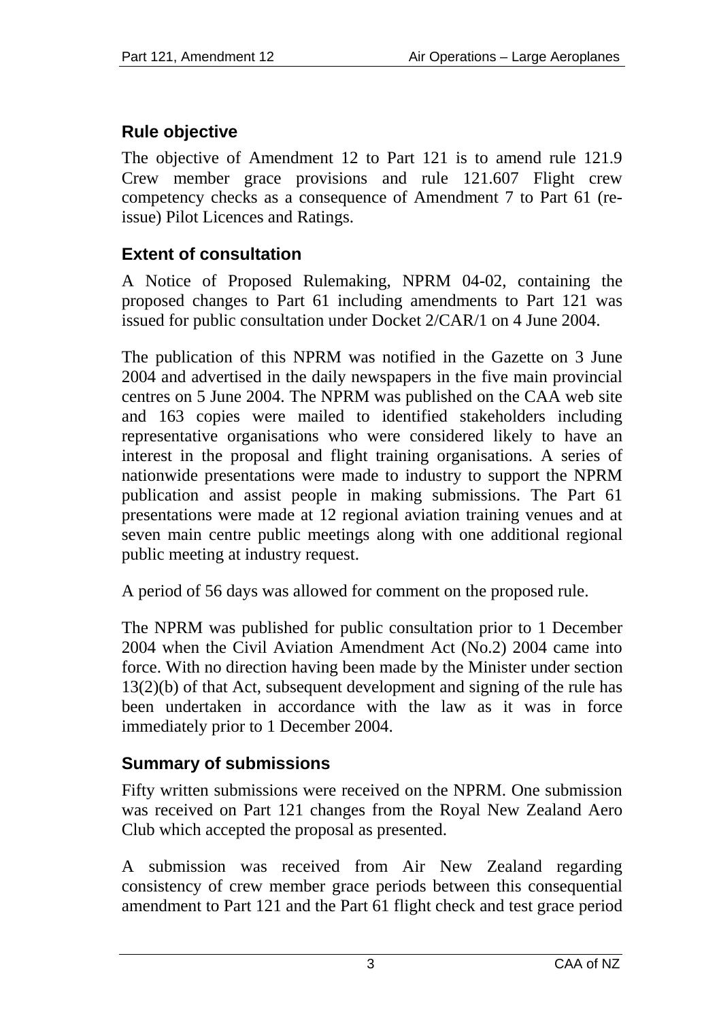## <span id="page-2-0"></span>**Rule objective**

The objective of Amendment 12 to Part 121 is to amend rule 121.9 Crew member grace provisions and rule 121.607 Flight crew competency checks as a consequence of Amendment 7 to Part 61 (reissue) Pilot Licences and Ratings.

## **Extent of consultation**

A Notice of Proposed Rulemaking, NPRM 04-02, containing the proposed changes to Part 61 including amendments to Part 121 was issued for public consultation under Docket 2/CAR/1 on 4 June 2004.

The publication of this NPRM was notified in the Gazette on 3 June 2004 and advertised in the daily newspapers in the five main provincial centres on 5 June 2004. The NPRM was published on the CAA web site and 163 copies were mailed to identified stakeholders including representative organisations who were considered likely to have an interest in the proposal and flight training organisations. A series of nationwide presentations were made to industry to support the NPRM publication and assist people in making submissions. The Part 61 presentations were made at 12 regional aviation training venues and at seven main centre public meetings along with one additional regional public meeting at industry request.

A period of 56 days was allowed for comment on the proposed rule.

The NPRM was published for public consultation prior to 1 December 2004 when the Civil Aviation Amendment Act (No.2) 2004 came into force. With no direction having been made by the Minister under section 13(2)(b) of that Act, subsequent development and signing of the rule has been undertaken in accordance with the law as it was in force immediately prior to 1 December 2004.

## **Summary of submissions**

Fifty written submissions were received on the NPRM. One submission was received on Part 121 changes from the Royal New Zealand Aero Club which accepted the proposal as presented.

A submission was received from Air New Zealand regarding consistency of crew member grace periods between this consequential amendment to Part 121 and the Part 61 flight check and test grace period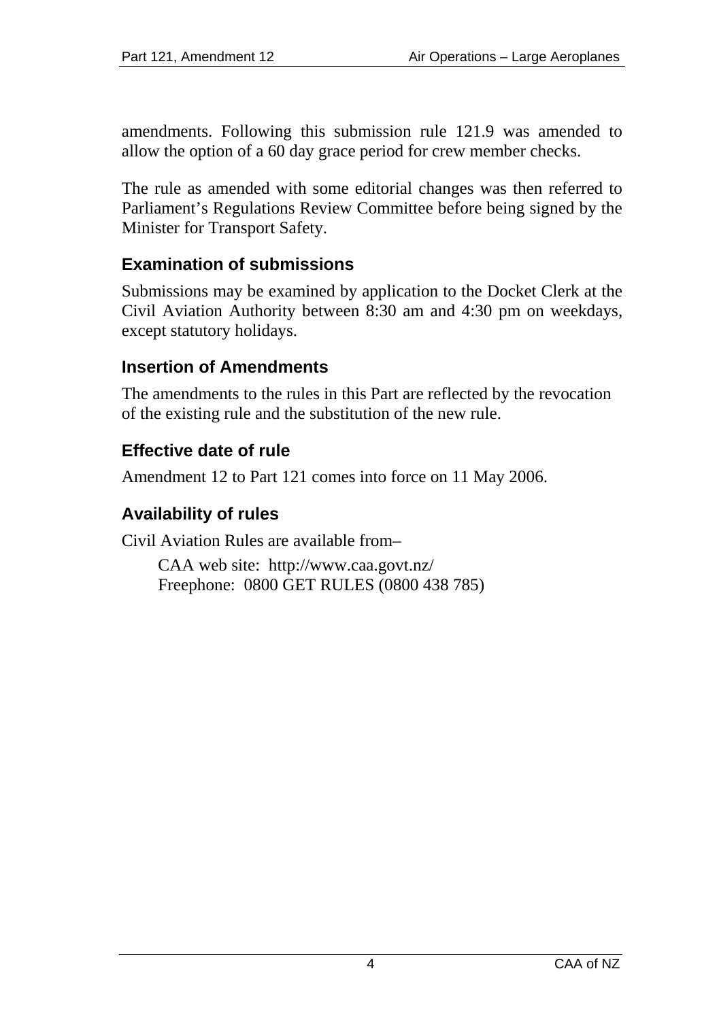<span id="page-3-0"></span>amendments. Following this submission rule 121.9 was amended to allow the option of a 60 day grace period for crew member checks.

The rule as amended with some editorial changes was then referred to Parliament's Regulations Review Committee before being signed by the Minister for Transport Safety.

### **Examination of submissions**

Submissions may be examined by application to the Docket Clerk at the Civil Aviation Authority between 8:30 am and 4:30 pm on weekdays, except statutory holidays.

#### **Insertion of Amendments**

The amendments to the rules in this Part are reflected by the revocation of the existing rule and the substitution of the new rule.

### **Effective date of rule**

Amendment 12 to Part 121 comes into force on 11 May 2006.

### **Availability of rules**

Civil Aviation Rules are available from–

CAA web site: <http://www.caa.govt.nz/> Freephone: 0800 GET RULES (0800 438 785)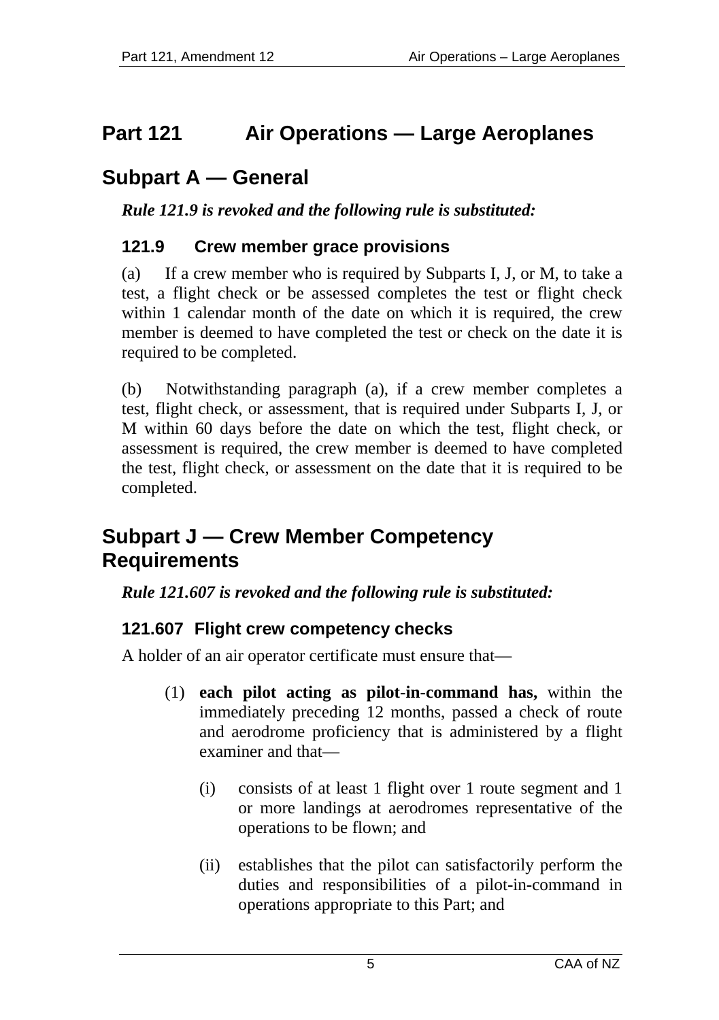## <span id="page-4-0"></span>**Part 121 Air Operations — Large Aeroplanes**

# **Subpart A — General**

*Rule 121.9 is revoked and the following rule is substituted:* 

### **121.9 Crew member grace provisions**

(a) If a crew member who is required by Subparts I, J, or M, to take a test, a flight check or be assessed completes the test or flight check within 1 calendar month of the date on which it is required, the crew member is deemed to have completed the test or check on the date it is required to be completed.

(b) Notwithstanding paragraph (a), if a crew member completes a test, flight check, or assessment, that is required under Subparts I, J, or M within 60 days before the date on which the test, flight check, or assessment is required, the crew member is deemed to have completed the test, flight check, or assessment on the date that it is required to be completed.

## **Subpart J — Crew Member Competency Requirements**

### *Rule 121.607 is revoked and the following rule is substituted:*

## **121.607 Flight crew competency checks**

A holder of an air operator certificate must ensure that—

- (1) **each pilot acting as pilot-in-command has,** within the immediately preceding 12 months, passed a check of route and aerodrome proficiency that is administered by a flight examiner and that—
	- (i) consists of at least 1 flight over 1 route segment and 1 or more landings at aerodromes representative of the operations to be flown; and
	- (ii) establishes that the pilot can satisfactorily perform the duties and responsibilities of a pilot-in-command in operations appropriate to this Part; and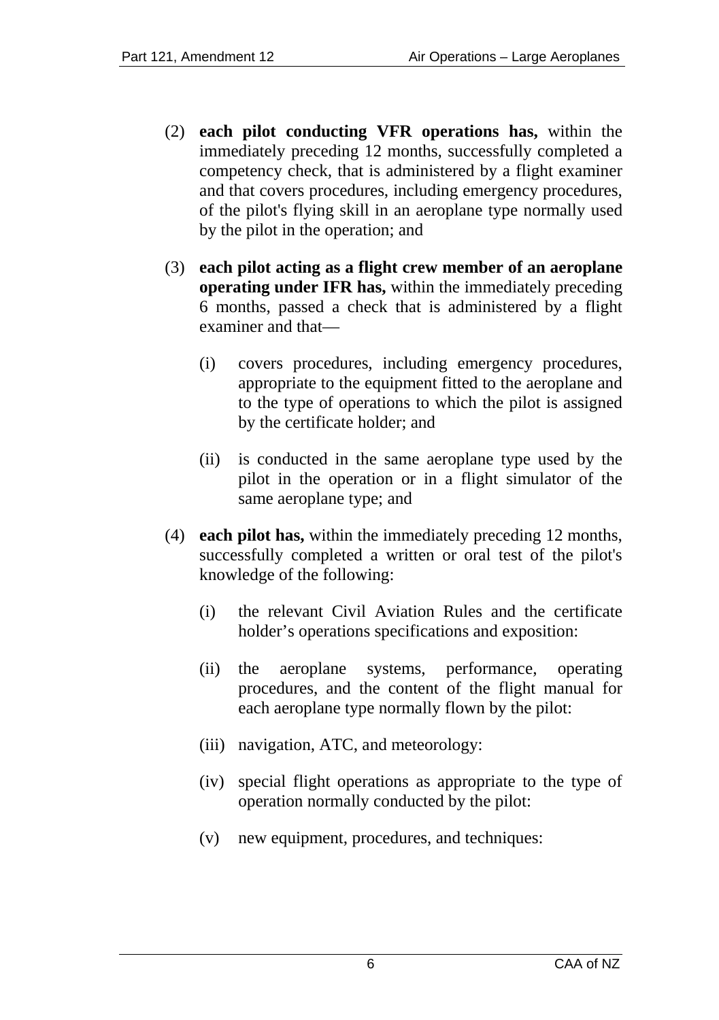- (2) **each pilot conducting VFR operations has,** within the immediately preceding 12 months, successfully completed a competency check, that is administered by a flight examiner and that covers procedures, including emergency procedures, of the pilot's flying skill in an aeroplane type normally used by the pilot in the operation; and
- (3) **each pilot acting as a flight crew member of an aeroplane operating under IFR has,** within the immediately preceding 6 months, passed a check that is administered by a flight examiner and that—
	- (i) covers procedures, including emergency procedures, appropriate to the equipment fitted to the aeroplane and to the type of operations to which the pilot is assigned by the certificate holder; and
	- (ii) is conducted in the same aeroplane type used by the pilot in the operation or in a flight simulator of the same aeroplane type; and
- (4) **each pilot has,** within the immediately preceding 12 months, successfully completed a written or oral test of the pilot's knowledge of the following:
	- (i) the relevant Civil Aviation Rules and the certificate holder's operations specifications and exposition:
	- (ii) the aeroplane systems, performance, operating procedures, and the content of the flight manual for each aeroplane type normally flown by the pilot:
	- (iii) navigation, ATC, and meteorology:
	- (iv) special flight operations as appropriate to the type of operation normally conducted by the pilot:
	- (v) new equipment, procedures, and techniques: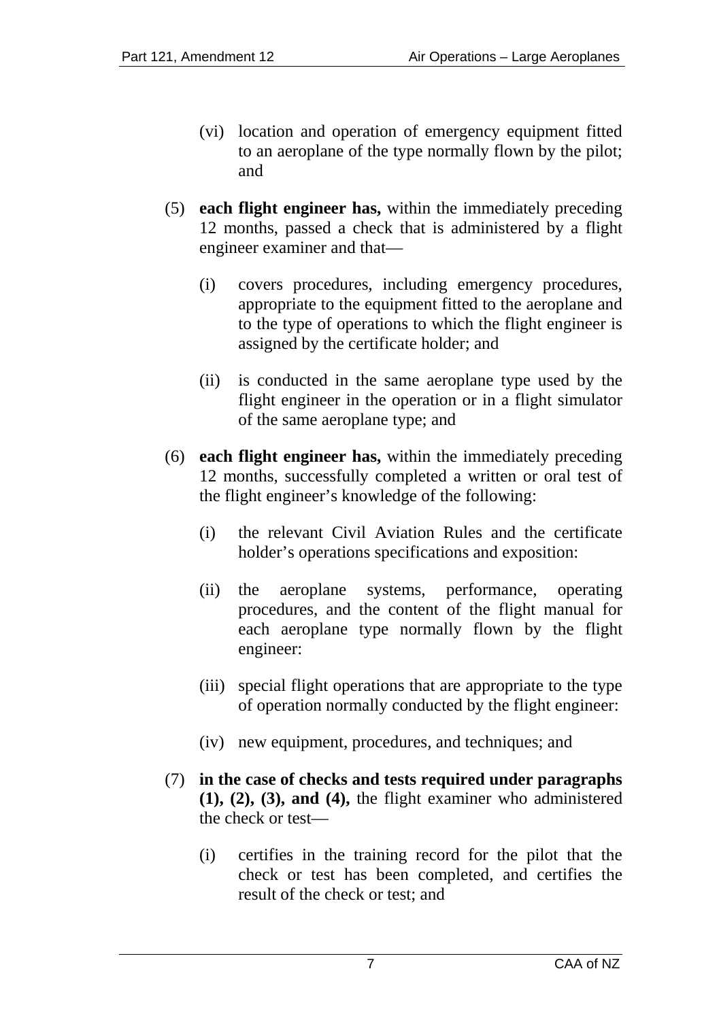- (vi) location and operation of emergency equipment fitted to an aeroplane of the type normally flown by the pilot; and
- (5) **each flight engineer has,** within the immediately preceding 12 months, passed a check that is administered by a flight engineer examiner and that—
	- (i) covers procedures, including emergency procedures, appropriate to the equipment fitted to the aeroplane and to the type of operations to which the flight engineer is assigned by the certificate holder; and
	- (ii) is conducted in the same aeroplane type used by the flight engineer in the operation or in a flight simulator of the same aeroplane type; and
- (6) **each flight engineer has,** within the immediately preceding 12 months, successfully completed a written or oral test of the flight engineer's knowledge of the following:
	- (i) the relevant Civil Aviation Rules and the certificate holder's operations specifications and exposition:
	- (ii) the aeroplane systems, performance, operating procedures, and the content of the flight manual for each aeroplane type normally flown by the flight engineer:
	- (iii) special flight operations that are appropriate to the type of operation normally conducted by the flight engineer:
	- (iv) new equipment, procedures, and techniques; and
- (7) **in the case of checks and tests required under paragraphs (1), (2), (3), and (4),** the flight examiner who administered the check or test—
	- (i) certifies in the training record for the pilot that the check or test has been completed, and certifies the result of the check or test; and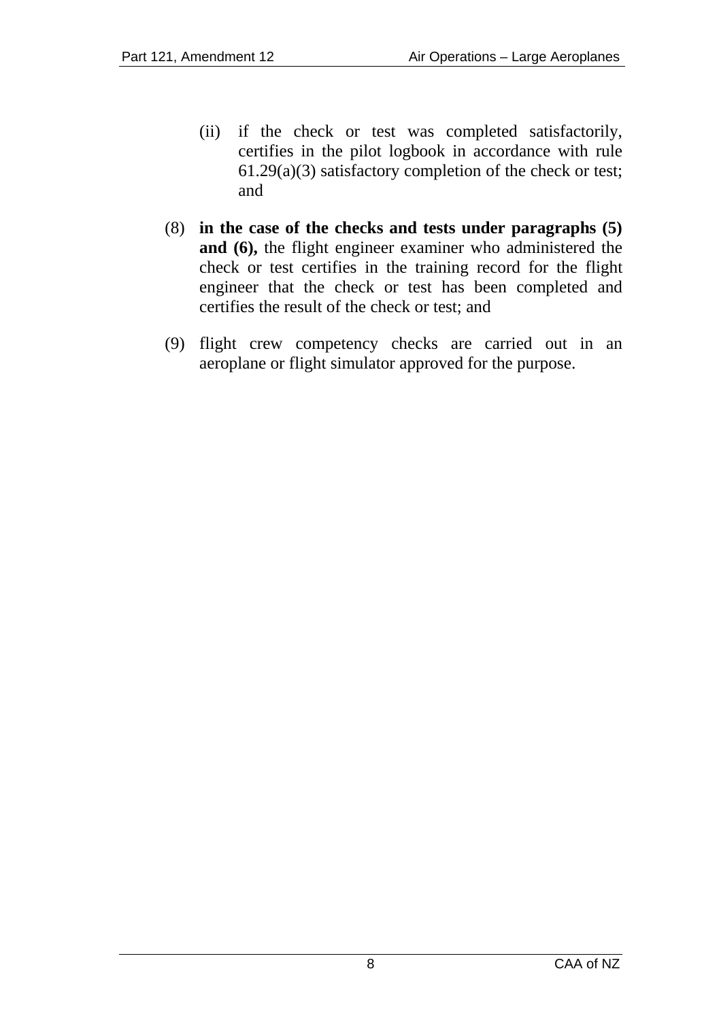- (ii) if the check or test was completed satisfactorily, certifies in the pilot logbook in accordance with rule 61.29(a)(3) satisfactory completion of the check or test; and
- (8) **in the case of the checks and tests under paragraphs (5) and (6),** the flight engineer examiner who administered the check or test certifies in the training record for the flight engineer that the check or test has been completed and certifies the result of the check or test; and
- (9) flight crew competency checks are carried out in an aeroplane or flight simulator approved for the purpose.